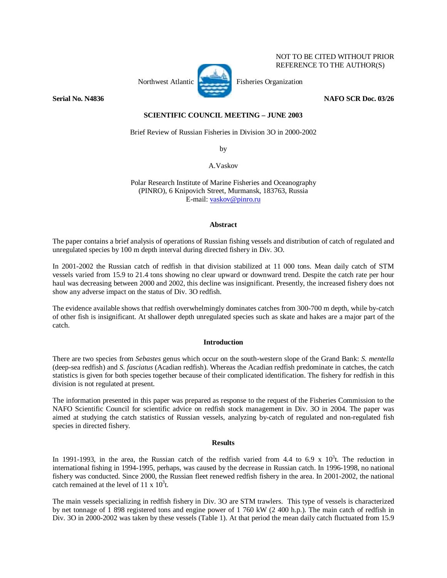# Northwest Atlantic **Fisheries** Organization

NOT TO BE CITED WITHOUT PRIOR REFERENCE TO THE AUTHOR(S)

# **Serial No. N4836 NAFO SCR Doc. 03/26**

# **SCIENTIFIC COUNCIL MEETING – JUNE 2003**

Brief Review of Russian Fisheries in Division 3O in 2000-2002

by

A.Vaskov

Polar Research Institute of Marine Fisheries and Oceanography (PINRO), 6 Knipovich Street, Murmansk, 183763, Russia E-mail: vaskov@pinro.ru

### **Abstract**

The paper contains a brief analysis of operations of Russian fishing vessels and distribution of catch of regulated and unregulated species by 100 m depth interval during directed fishery in Div. 3O.

In 2001-2002 the Russian catch of redfish in that division stabilized at 11 000 tons. Mean daily catch of STM vessels varied from 15.9 to 21.4 tons showing no clear upward or downward trend. Despite the catch rate per hour haul was decreasing between 2000 and 2002, this decline was insignificant. Presently, the increased fishery does not show any adverse impact on the status of Div. 3O redfish.

The evidence available shows that redfish overwhelmingly dominates catches from 300-700 m depth, while by-catch of other fish is insignificant. At shallower depth unregulated species such as skate and hakes are a major part of the catch.

## **Introduction**

There are two species from *Sebastes* genus which occur on the south-western slope of the Grand Bank: *S. mentella*  (deep-sea redfish) and *S. fasciatus* (Acadian redfish). Whereas the Acadian redfish predominate in catches, the catch statistics is given for both species together because of their complicated identification. The fishery for redfish in this division is not regulated at present.

The information presented in this paper was prepared as response to the request of the Fisheries Commission to the NAFO Scientific Council for scientific advice on redfish stock management in Div. 3O in 2004. The paper was aimed at studying the catch statistics of Russian vessels, analyzing by-catch of regulated and non-regulated fish species in directed fishery.

### **Results**

In 1991-1993, in the area, the Russian catch of the redfish varied from 4.4 to 6.9 x  $10^3$ t. The reduction in international fishing in 1994-1995, perhaps, was caused by the decrease in Russian catch. In 1996-1998, no national fishery was conducted. Since 2000, the Russian fleet renewed redfish fishery in the area. In 2001-2002, the national catch remained at the level of  $11 \times 10^3$ t.

The main vessels specializing in redfish fishery in Div. 3O are STM trawlers. This type of vessels is characterized by net tonnage of 1 898 registered tons and engine power of 1 760 kW (2 400 h.p.). The main catch of redfish in Div. 3O in 2000-2002 was taken by these vessels (Table 1). At that period the mean daily catch fluctuated from 15.9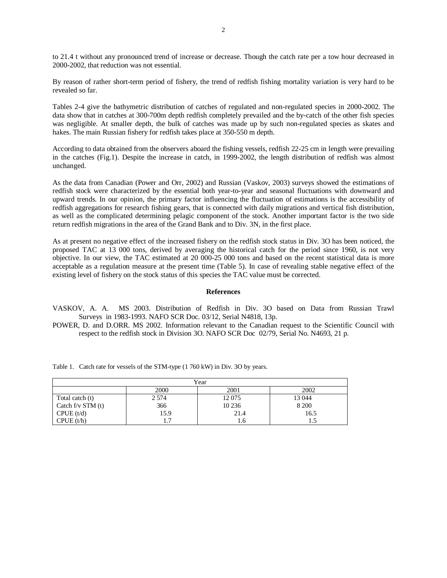to 21.4 t without any pronounced trend of increase or decrease. Though the catch rate per a tow hour decreased in 2000-2002, that reduction was not essential.

By reason of rather short-term period of fishery, the trend of redfish fishing mortality variation is very hard to be revealed so far.

Tables 2-4 give the bathymetric distribution of catches of regulated and non-regulated species in 2000-2002. The data show that in catches at 300-700m depth redfish completely prevailed and the by-catch of the other fish species was negligible. At smaller depth, the bulk of catches was made up by such non-regulated species as skates and hakes. The main Russian fishery for redfish takes place at 350-550 m depth.

According to data obtained from the observers aboard the fishing vessels, redfish 22-25 cm in length were prevailing in the catches (Fig.1). Despite the increase in catch, in 1999-2002, the length distribution of redfish was almost unchanged.

As the data from Canadian (Power and Orr, 2002) and Russian (Vaskov, 2003) surveys showed the estimations of redfish stock were characterized by the essential both year-to-year and seasonal fluctuations with downward and upward trends. In our opinion, the primary factor influencing the fluctuation of estimations is the accessibility of redfish aggregations for research fishing gears, that is connected with daily migrations and vertical fish distribution, as well as the complicated determining pelagic component of the stock. Another important factor is the two side return redfish migrations in the area of the Grand Bank and to Div. 3N, in the first place.

As at present no negative effect of the increased fishery on the redfish stock status in Div. 3O has been noticed, the proposed TAC at 13 000 tons, derived by averaging the historical catch for the period since 1960, is not very objective. In our view, the TAC estimated at 20 000-25 000 tons and based on the recent statistical data is more acceptable as a regulation measure at the present time (Table 5). In case of revealing stable negative effect of the existing level of fishery on the stock status of this species the TAC value must be corrected.

### **References**

VASKOV, A. A. MS 2003. Distribution of Redfish in Div. 3O based on Data from Russian Trawl Surveys in 1983-1993. NAFO SCR Doc. 03/12, Serial N4818, 13p.

POWER, D. and D.ORR. MS 2002. Information relevant to the Canadian request to the Scientific Council with respect to the redfish stock in Division 3O. NAFO SCR Doc 02/79, Serial No. N4693, 21 p.

Table 1. Catch rate for vessels of the STM-type (1 760 kW) in Div. 3O by years.

| Year                  |         |         |         |  |  |  |  |  |  |
|-----------------------|---------|---------|---------|--|--|--|--|--|--|
|                       | 2000    | 2001    | 2002    |  |  |  |  |  |  |
| Total catch (t)       | 2 5 7 4 | 12075   | 13 044  |  |  |  |  |  |  |
| Catch $f/v$ STM $(t)$ | 366     | 10 2 36 | 8 2 0 0 |  |  |  |  |  |  |
| CPUE (t/d)            | 15.9    | 21.4    | 16.5    |  |  |  |  |  |  |
| CPUE(t/h)             |         | 1.6     | 1.5     |  |  |  |  |  |  |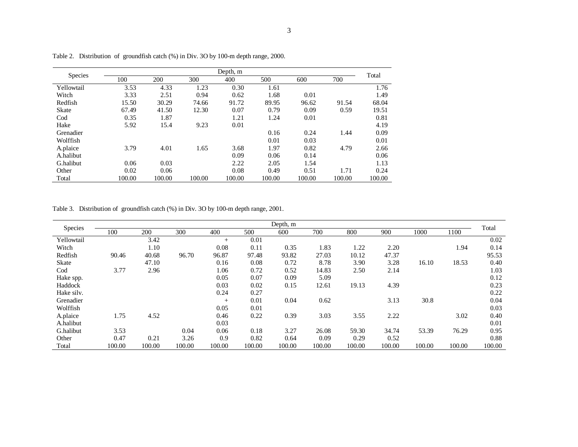| <b>Species</b> | Depth, m |        |        |        |        |        |        |        |  |  |  |  |
|----------------|----------|--------|--------|--------|--------|--------|--------|--------|--|--|--|--|
|                | 100      | 200    | 300    | 400    | 500    | 600    | 700    | Total  |  |  |  |  |
| Yellowtail     | 3.53     | 4.33   | 1.23   | 0.30   | 1.61   |        |        | 1.76   |  |  |  |  |
| Witch          | 3.33     | 2.51   | 0.94   | 0.62   | 1.68   | 0.01   |        | 1.49   |  |  |  |  |
| Redfish        | 15.50    | 30.29  | 74.66  | 91.72  | 89.95  | 96.62  | 91.54  | 68.04  |  |  |  |  |
| <b>Skate</b>   | 67.49    | 41.50  | 12.30  | 0.07   | 0.79   | 0.09   | 0.59   | 19.51  |  |  |  |  |
| $\mathrm{Cod}$ | 0.35     | 1.87   |        | 1.21   | 1.24   | 0.01   |        | 0.81   |  |  |  |  |
| Hake           | 5.92     | 15.4   | 9.23   | 0.01   |        |        |        | 4.19   |  |  |  |  |
| Grenadier      |          |        |        |        | 0.16   | 0.24   | 1.44   | 0.09   |  |  |  |  |
| Wolffish       |          |        |        |        | 0.01   | 0.03   |        | 0.01   |  |  |  |  |
| A.plaice       | 3.79     | 4.01   | 1.65   | 3.68   | 1.97   | 0.82   | 4.79   | 2.66   |  |  |  |  |
| A.halibut      |          |        |        | 0.09   | 0.06   | 0.14   |        | 0.06   |  |  |  |  |
| G.halibut      | 0.06     | 0.03   |        | 2.22   | 2.05   | 1.54   |        | 1.13   |  |  |  |  |
| Other          | 0.02     | 0.06   |        | 0.08   | 0.49   | 0.51   | 1.71   | 0.24   |  |  |  |  |
| Total          | 100.00   | 100.00 | 100.00 | 100.00 | 100.00 | 100.00 | 100.00 | 100.00 |  |  |  |  |

Table 2. Distribution of groundfish catch (%) in Div. 3O by 100-m depth range, 2000.

Table 3. Distribution of groundfish catch (%) in Div. 3O by 100-m depth range, 2001.

| Species      | Depth, m |        |        |        |        |        |        |        |        |        |        | Total  |
|--------------|----------|--------|--------|--------|--------|--------|--------|--------|--------|--------|--------|--------|
|              | 100      | 200    | 300    | 400    | 500    | 600    | 700    | 800    | 900    | 1000   | 1100   |        |
| Yellowtail   |          | 3.42   |        | $^{+}$ | 0.01   |        |        |        |        |        |        | 0.02   |
| Witch        |          | 1.10   |        | 0.08   | 0.11   | 0.35   | 1.83   | 1.22   | 2.20   |        | 1.94   | 0.14   |
| Redfish      | 90.46    | 40.68  | 96.70  | 96.87  | 97.48  | 93.82  | 27.03  | 10.12  | 47.37  |        |        | 95.53  |
| <b>Skate</b> |          | 47.10  |        | 0.16   | 0.08   | 0.72   | 8.78   | 3.90   | 3.28   | 16.10  | 18.53  | 0.40   |
| Cod          | 3.77     | 2.96   |        | 1.06   | 0.72   | 0.52   | 14.83  | 2.50   | 2.14   |        |        | 1.03   |
| Hake spp.    |          |        |        | 0.05   | 0.07   | 0.09   | 5.09   |        |        |        |        | 0.12   |
| Haddock      |          |        |        | 0.03   | 0.02   | 0.15   | 12.61  | 19.13  | 4.39   |        |        | 0.23   |
| Hake silv.   |          |        |        | 0.24   | 0.27   |        |        |        |        |        |        | 0.22   |
| Grenadier    |          |        |        | $^{+}$ | 0.01   | 0.04   | 0.62   |        | 3.13   | 30.8   |        | 0.04   |
| Wolffish     |          |        |        | 0.05   | 0.01   |        |        |        |        |        |        | 0.03   |
| A.plaice     | 1.75     | 4.52   |        | 0.46   | 0.22   | 0.39   | 3.03   | 3.55   | 2.22   |        | 3.02   | 0.40   |
| A.halibut    |          |        |        | 0.03   |        |        |        |        |        |        |        | 0.01   |
| G.halibut    | 3.53     |        | 0.04   | 0.06   | 0.18   | 3.27   | 26.08  | 59.30  | 34.74  | 53.39  | 76.29  | 0.95   |
| Other        | 0.47     | 0.21   | 3.26   | 0.9    | 0.82   | 0.64   | 0.09   | 0.29   | 0.52   |        |        | 0.88   |
| Total        | 100.00   | 100.00 | 100.00 | 100.00 | 100.00 | 100.00 | 100.00 | 100.00 | 100.00 | 100.00 | 100.00 | 100.00 |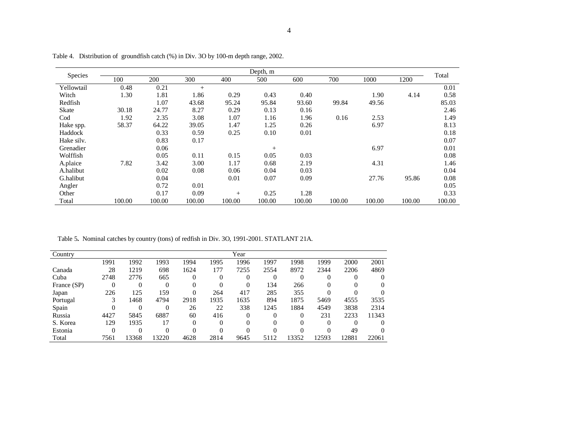| Species        | Depth, m |        |        |        |        |        |        |        |        |        |  |  |
|----------------|----------|--------|--------|--------|--------|--------|--------|--------|--------|--------|--|--|
|                | 100      | 200    | 300    | 400    | 500    | 600    | 700    | 1000   | 1200   | Total  |  |  |
| Yellowtail     | 0.48     | 0.21   | $+$    |        |        |        |        |        |        | 0.01   |  |  |
| Witch          | 1.30     | 1.81   | 1.86   | 0.29   | 0.43   | 0.40   |        | 1.90   | 4.14   | 0.58   |  |  |
| Redfish        |          | 1.07   | 43.68  | 95.24  | 95.84  | 93.60  | 99.84  | 49.56  |        | 85.03  |  |  |
| Skate          | 30.18    | 24.77  | 8.27   | 0.29   | 0.13   | 0.16   |        |        |        | 2.46   |  |  |
| $\mathrm{Cod}$ | 1.92     | 2.35   | 3.08   | 1.07   | 1.16   | 1.96   | 0.16   | 2.53   |        | 1.49   |  |  |
| Hake spp.      | 58.37    | 64.22  | 39.05  | 1.47   | 1.25   | 0.26   |        | 6.97   |        | 8.13   |  |  |
| Haddock        |          | 0.33   | 0.59   | 0.25   | 0.10   | 0.01   |        |        |        | 0.18   |  |  |
| Hake silv.     |          | 0.83   | 0.17   |        |        |        |        |        |        | 0.07   |  |  |
| Grenadier      |          | 0.06   |        |        | $^{+}$ |        |        | 6.97   |        | 0.01   |  |  |
| Wolffish       |          | 0.05   | 0.11   | 0.15   | 0.05   | 0.03   |        |        |        | 0.08   |  |  |
| A.plaice       | 7.82     | 3.42   | 3.00   | 1.17   | 0.68   | 2.19   |        | 4.31   |        | 1.46   |  |  |
| A.halibut      |          | 0.02   | 0.08   | 0.06   | 0.04   | 0.03   |        |        |        | 0.04   |  |  |
| G.halibut      |          | 0.04   |        | 0.01   | 0.07   | 0.09   |        | 27.76  | 95.86  | 0.08   |  |  |
| Angler         |          | 0.72   | 0.01   |        |        |        |        |        |        | 0.05   |  |  |
| Other          |          | 0.17   | 0.09   | $+$    | 0.25   | 1.28   |        |        |        | 0.33   |  |  |
| Total          | 100.00   | 100.00 | 100.00 | 100.00 | 100.00 | 100.00 | 100.00 | 100.00 | 100.00 | 100.00 |  |  |

Table 4. Distribution of groundfish catch (%) in Div. 3O by 100-m depth range, 2002.

Table 5**.** Nominal catches by country (tons) of redfish in Div. 3O, 1991-2001. STATLANT 21A.

| Country     |      |       |       |      |      | Year |      |       |       |       |       |
|-------------|------|-------|-------|------|------|------|------|-------|-------|-------|-------|
|             | 1991 | 1992  | 1993  | 1994 | 1995 | 1996 | 1997 | 1998  | 1999  | 2000  | 2001  |
| Canada      | 28   | 1219  | 698   | 1624 | 177  | 7255 | 2554 | 8972  | 2344  | 2206  | 4869  |
| Cuba        | 2748 | 2776  | 665   |      |      |      |      |       |       |       |       |
| France (SP) |      |       |       | 0    |      |      | 134  | 266   | 0     | 0     |       |
| Japan       | 226  | 125   | 159   |      | 264  | 417  | 285  | 355   |       |       |       |
| Portugal    | 3    | 1468  | 4794  | 2918 | 1935 | 1635 | 894  | 1875  | 5469  | 4555  | 3535  |
| Spain       |      |       |       | 26   | 22   | 338  | 1245 | 1884  | 4549  | 3838  | 2314  |
| Russia      | 4427 | 5845  | 6887  | 60   | 416  | 0    |      |       | 231   | 2233  | 11343 |
| S. Korea    | 129  | 1935  |       | 0    |      |      |      |       |       |       |       |
| Estonia     |      |       |       |      |      |      |      |       |       | 49    |       |
| Total       | 7561 | 13368 | 13220 | 4628 | 2814 | 9645 | 5112 | 13352 | 12593 | 12881 | 22061 |